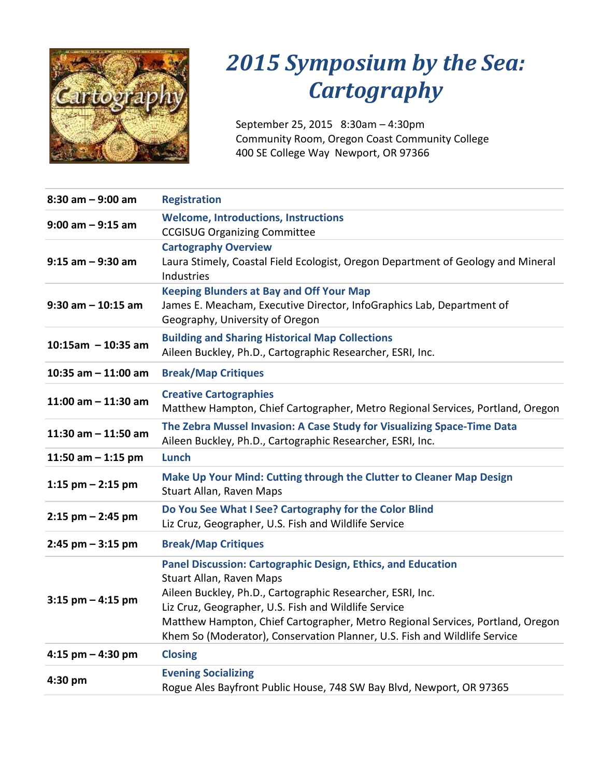

# *2015 Symposium by the Sea: Cartography*

September 25, 2015 8:30am – 4:30pm Community Room, Oregon Coast Community College 400 SE College Way Newport, OR 97366

| $8:30$ am $-9:00$ am  | <b>Registration</b>                                                                                                                                                                                                                                                                                                                                                                  |
|-----------------------|--------------------------------------------------------------------------------------------------------------------------------------------------------------------------------------------------------------------------------------------------------------------------------------------------------------------------------------------------------------------------------------|
| $9:00$ am $-9:15$ am  | <b>Welcome, Introductions, Instructions</b><br><b>CCGISUG Organizing Committee</b>                                                                                                                                                                                                                                                                                                   |
| $9:15$ am $-9:30$ am  | <b>Cartography Overview</b><br>Laura Stimely, Coastal Field Ecologist, Oregon Department of Geology and Mineral<br><b>Industries</b>                                                                                                                                                                                                                                                 |
| $9:30$ am $-10:15$ am | <b>Keeping Blunders at Bay and Off Your Map</b><br>James E. Meacham, Executive Director, InfoGraphics Lab, Department of<br>Geography, University of Oregon                                                                                                                                                                                                                          |
| $10:15$ am - 10:35 am | <b>Building and Sharing Historical Map Collections</b><br>Aileen Buckley, Ph.D., Cartographic Researcher, ESRI, Inc.                                                                                                                                                                                                                                                                 |
| 10:35 am $-$ 11:00 am | <b>Break/Map Critiques</b>                                                                                                                                                                                                                                                                                                                                                           |
| 11:00 am $-$ 11:30 am | <b>Creative Cartographies</b><br>Matthew Hampton, Chief Cartographer, Metro Regional Services, Portland, Oregon                                                                                                                                                                                                                                                                      |
| 11:30 am $-$ 11:50 am | The Zebra Mussel Invasion: A Case Study for Visualizing Space-Time Data<br>Aileen Buckley, Ph.D., Cartographic Researcher, ESRI, Inc.                                                                                                                                                                                                                                                |
| 11:50 am $-$ 1:15 pm  | Lunch                                                                                                                                                                                                                                                                                                                                                                                |
| 1:15 pm $-$ 2:15 pm   | Make Up Your Mind: Cutting through the Clutter to Cleaner Map Design<br>Stuart Allan, Raven Maps                                                                                                                                                                                                                                                                                     |
| $2:15$ pm $- 2:45$ pm | Do You See What I See? Cartography for the Color Blind<br>Liz Cruz, Geographer, U.S. Fish and Wildlife Service                                                                                                                                                                                                                                                                       |
| $2:45$ pm $-3:15$ pm  | <b>Break/Map Critiques</b>                                                                                                                                                                                                                                                                                                                                                           |
| $3:15$ pm $-4:15$ pm  | <b>Panel Discussion: Cartographic Design, Ethics, and Education</b><br>Stuart Allan, Raven Maps<br>Aileen Buckley, Ph.D., Cartographic Researcher, ESRI, Inc.<br>Liz Cruz, Geographer, U.S. Fish and Wildlife Service<br>Matthew Hampton, Chief Cartographer, Metro Regional Services, Portland, Oregon<br>Khem So (Moderator), Conservation Planner, U.S. Fish and Wildlife Service |
| 4:15 pm $-$ 4:30 pm   | <b>Closing</b>                                                                                                                                                                                                                                                                                                                                                                       |
| 4:30 pm               | <b>Evening Socializing</b><br>Rogue Ales Bayfront Public House, 748 SW Bay Blvd, Newport, OR 97365                                                                                                                                                                                                                                                                                   |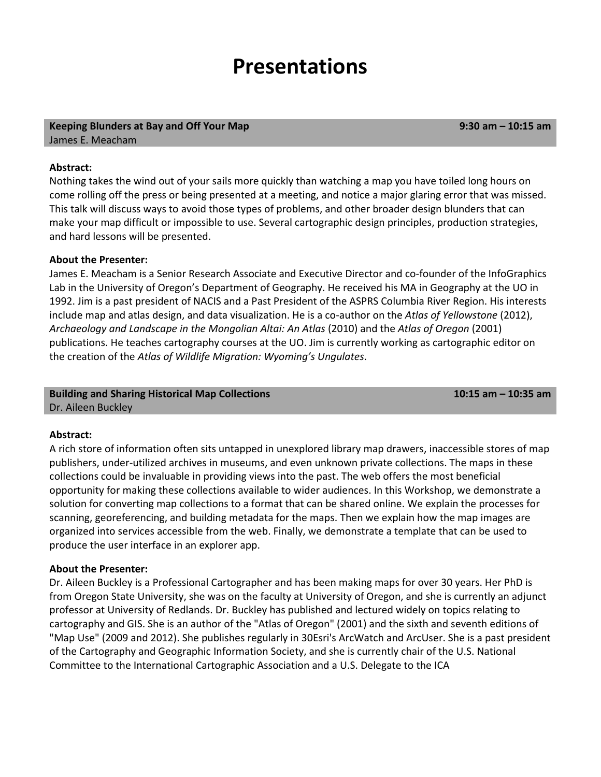### **Presentations**

#### **Keeping Blunders at Bay and Off Your Map** James E. Meacham

**9:30 am – 10:15 am**

#### **Abstract:**

Nothing takes the wind out of your sails more quickly than watching a map you have toiled long hours on come rolling off the press or being presented at a meeting, and notice a major glaring error that was missed. This talk will discuss ways to avoid those types of problems, and other broader design blunders that can make your map difficult or impossible to use. Several cartographic design principles, production strategies, and hard lessons will be presented.

#### **About the Presenter:**

James E. Meacham is a Senior Research Associate and Executive Director and co-founder of the InfoGraphics Lab in the University of Oregon's Department of Geography. He received his MA in Geography at the UO in 1992. Jim is a past president of NACIS and a Past President of the ASPRS Columbia River Region. His interests include map and atlas design, and data visualization. He is a co-author on the *Atlas of Yellowstone* (2012), *Archaeology and Landscape in the Mongolian Altai: An Atlas* (2010) and the *Atlas of Oregon* (2001) publications. He teaches cartography courses at the UO. Jim is currently working as cartographic editor on the creation of the *Atlas of Wildlife Migration: Wyoming's Ungulates*.

#### **Building and Sharing Historical Map Collections** Dr. Aileen Buckley

**10:15 am – 10:35 am**

**Abstract:**

A rich store of information often sits untapped in unexplored library map drawers, inaccessible stores of map publishers, under-utilized archives in museums, and even unknown private collections. The maps in these collections could be invaluable in providing views into the past. The web offers the most beneficial opportunity for making these collections available to wider audiences. In this Workshop, we demonstrate a solution for converting map collections to a format that can be shared online. We explain the processes for scanning, georeferencing, and building metadata for the maps. Then we explain how the map images are organized into services accessible from the web. Finally, we demonstrate a template that can be used to produce the user interface in an explorer app.

#### **About the Presenter:**

Dr. Aileen Buckley is a Professional Cartographer and has been making maps for over 30 years. Her PhD is from Oregon State University, she was on the faculty at University of Oregon, and she is currently an adjunct professor at University of Redlands. Dr. Buckley has published and lectured widely on topics relating to cartography and GIS. She is an author of the "Atlas of Oregon" (2001) and the sixth and seventh editions of "Map Use" (2009 and 2012). She publishes regularly in 30Esri's ArcWatch and ArcUser. She is a past president of the Cartography and Geographic Information Society, and she is currently chair of the U.S. National Committee to the International Cartographic Association and a U.S. Delegate to the ICA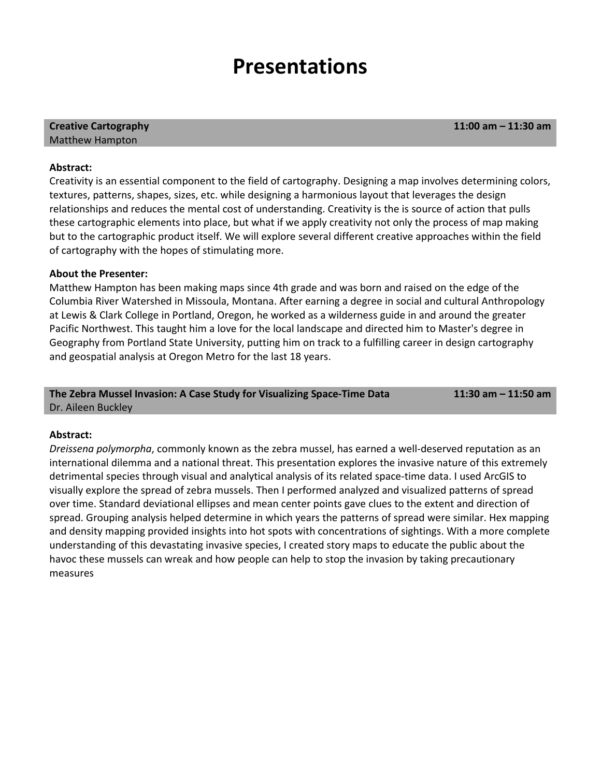### **Presentations**

#### **Creative Cartography** Matthew Hampton

**11:00 am – 11:30 am**

#### **Abstract:**

Creativity is an essential component to the field of cartography. Designing a map involves determining colors, textures, patterns, shapes, sizes, etc. while designing a harmonious layout that leverages the design relationships and reduces the mental cost of understanding. Creativity is the is source of action that pulls these cartographic elements into place, but what if we apply creativity not only the process of map making but to the cartographic product itself. We will explore several different creative approaches within the field of cartography with the hopes of stimulating more.

### **About the Presenter:**

Matthew Hampton has been making maps since 4th grade and was born and raised on the edge of the Columbia River Watershed in Missoula, Montana. After earning a degree in social and cultural Anthropology at Lewis & Clark College in Portland, Oregon, he worked as a wilderness guide in and around the greater Pacific Northwest. This taught him a love for the local landscape and directed him to Master's degree in Geography from Portland State University, putting him on track to a fulfilling career in design cartography and geospatial analysis at Oregon Metro for the last 18 years.

#### **The Zebra Mussel Invasion: A Case Study for Visualizing Space-Time Data**  Dr. Aileen Buckley

**11:30 am – 11:50 am**

#### **Abstract:**

*Dreissena polymorpha*, commonly known as the zebra mussel, has earned a well-deserved reputation as an international dilemma and a national threat. This presentation explores the invasive nature of this extremely detrimental species through visual and analytical analysis of its related space-time data. I used ArcGIS to visually explore the spread of zebra mussels. Then I performed analyzed and visualized patterns of spread over time. Standard deviational ellipses and mean center points gave clues to the extent and direction of spread. Grouping analysis helped determine in which years the patterns of spread were similar. Hex mapping and density mapping provided insights into hot spots with concentrations of sightings. With a more complete understanding of this devastating invasive species, I created story maps to educate the public about the havoc these mussels can wreak and how people can help to stop the invasion by taking precautionary measures